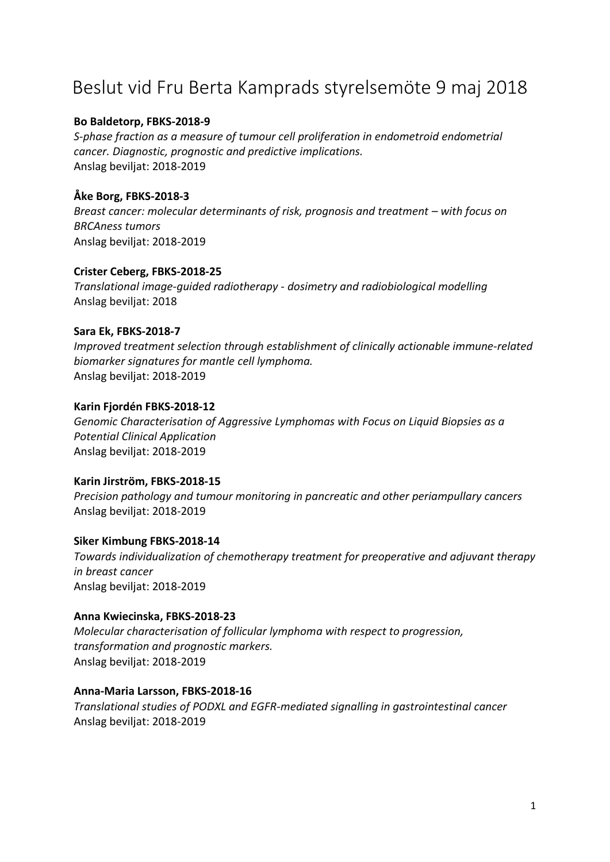# Beslut vid Fru Berta Kamprads styrelsemöte 9 maj 2018

## **Bo Baldetorp, FBKS‐2018‐9**

*S‐phase fraction as a measure of tumour cell proliferation in endometroid endometrial cancer. Diagnostic, prognostic and predictive implications.* Anslag beviljat: 2018‐2019

# **Åke Borg, FBKS‐2018‐3**

*Breast cancer: molecular determinants of risk, prognosis and treatment – with focus on BRCAness tumors* Anslag beviljat: 2018‐2019

## **Crister Ceberg, FBKS‐2018‐25**

*Translational image‐guided radiotherapy ‐ dosimetry and radiobiological modelling* Anslag beviljat: 2018

# **Sara Ek, FBKS‐2018‐7**

*Improved treatment selection through establishment of clinically actionable immune‐related biomarker signatures for mantle cell lymphoma.* Anslag beviljat: 2018‐2019

# **Karin Fjordén FBKS‐2018‐12**

*Genomic Characterisation of Aggressive Lymphomas with Focus on Liquid Biopsies as a Potential Clinical Application* Anslag beviljat: 2018‐2019

# **Karin Jirström, FBKS‐2018‐15**

*Precision pathology and tumour monitoring in pancreatic and other periampullary cancers* Anslag beviljat: 2018‐2019

## **Siker Kimbung FBKS‐2018‐14**

*Towards individualization of chemotherapy treatment for preoperative and adjuvant therapy in breast cancer* Anslag beviljat: 2018‐2019

## **Anna Kwiecinska, FBKS‐2018‐23**

*Molecular characterisation of follicular lymphoma with respect to progression, transformation and prognostic markers.* Anslag beviljat: 2018‐2019

## **Anna‐Maria Larsson, FBKS‐2018‐16**

*Translational studies of PODXL and EGFR‐mediated signalling in gastrointestinal cancer* Anslag beviljat: 2018‐2019